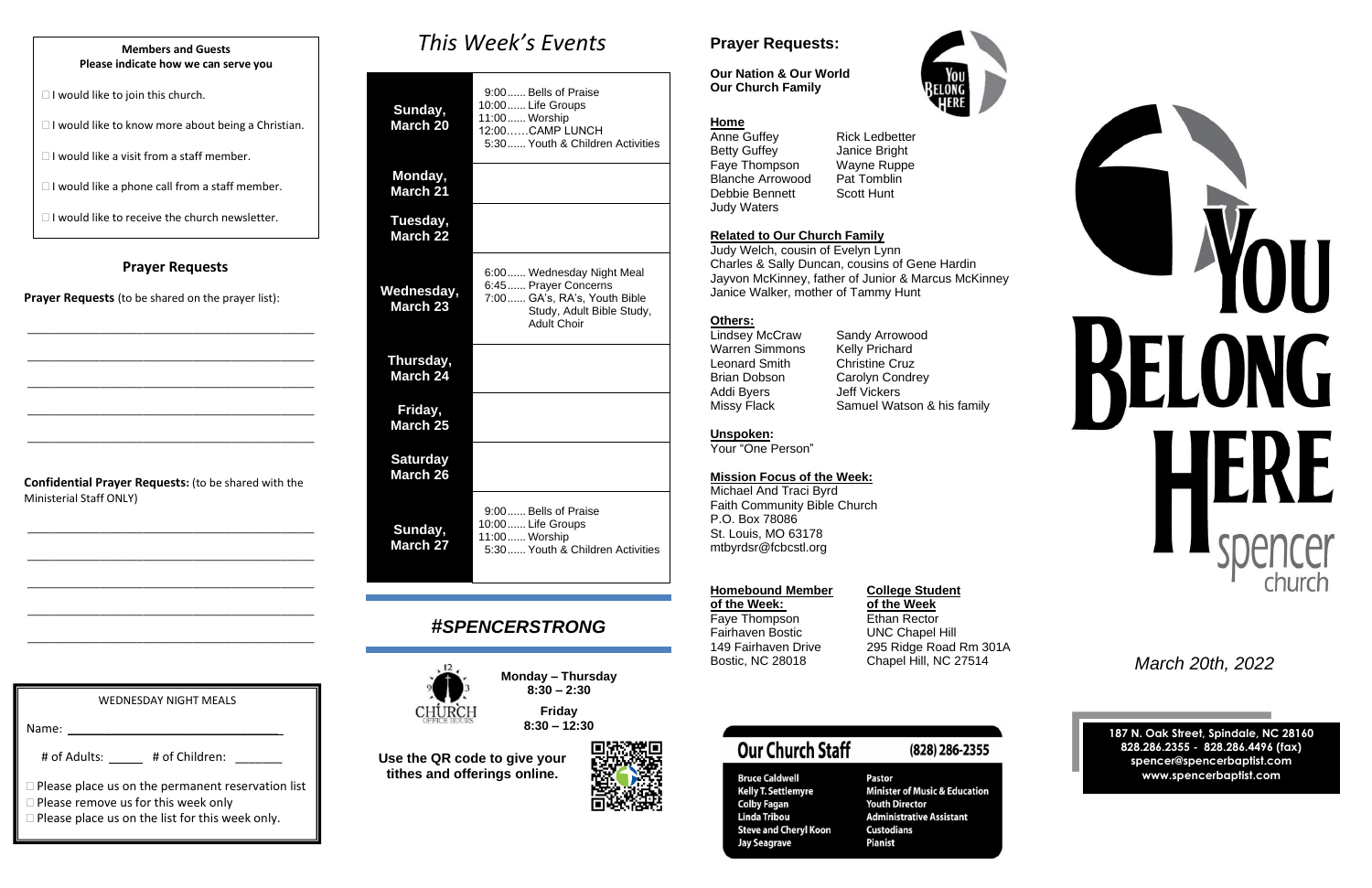## **Prayer Requests**

**Prayer Requests** (to be shared on the prayer list):

\_\_\_\_\_\_\_\_\_\_\_\_\_\_\_\_\_\_\_\_\_\_\_\_\_\_\_\_\_\_\_\_\_\_\_\_\_\_\_\_\_\_\_\_\_\_\_\_\_\_\_\_

\_\_\_\_\_\_\_\_\_\_\_\_\_\_\_\_\_\_\_\_\_\_\_\_\_\_\_\_\_\_\_\_\_\_\_\_\_\_\_\_\_\_\_\_\_\_\_\_\_\_\_\_

\_\_\_\_\_\_\_\_\_\_\_\_\_\_\_\_\_\_\_\_\_\_\_\_\_\_\_\_\_\_\_\_\_\_\_\_\_\_\_\_\_\_\_\_\_\_\_\_\_\_\_\_

\_\_\_\_\_\_\_\_\_\_\_\_\_\_\_\_\_\_\_\_\_\_\_\_\_\_\_\_\_\_\_\_\_\_\_\_\_\_\_\_\_\_\_\_\_\_\_\_\_\_\_\_

\_\_\_\_\_\_\_\_\_\_\_\_\_\_\_\_\_\_\_\_\_\_\_\_\_\_\_\_\_\_\_\_\_\_\_\_\_\_\_\_\_\_\_\_\_\_\_\_\_\_\_\_

**Confidential Prayer Requests:** (to be shared with the Ministerial Staff ONLY)

\_\_\_\_\_\_\_\_\_\_\_\_\_\_\_\_\_\_\_\_\_\_\_\_\_\_\_\_\_\_\_\_\_\_\_\_\_\_\_\_\_\_\_\_\_\_\_\_\_\_\_\_

\_\_\_\_\_\_\_\_\_\_\_\_\_\_\_\_\_\_\_\_\_\_\_\_\_\_\_\_\_\_\_\_\_\_\_\_\_\_\_\_\_\_\_\_\_\_\_\_\_\_\_\_

\_\_\_\_\_\_\_\_\_\_\_\_\_\_\_\_\_\_\_\_\_\_\_\_\_\_\_\_\_\_\_\_\_\_\_\_\_\_\_\_\_\_\_\_\_\_\_\_\_\_\_\_

\_\_\_\_\_\_\_\_\_\_\_\_\_\_\_\_\_\_\_\_\_\_\_\_\_\_\_\_\_\_\_\_\_\_\_\_\_\_\_\_\_\_\_\_\_\_\_\_\_\_\_\_

\_\_\_\_\_\_\_\_\_\_\_\_\_\_\_\_\_\_\_\_\_\_\_\_\_\_\_\_\_\_\_\_\_\_\_\_\_\_\_\_\_\_\_\_\_\_\_\_\_\_\_\_

# *This Week's Events*

Anne Guffey Rick Ledbetter Betty Guffey **Janice Bright** Faye Thompson Wayne Ruppe<br>Blanche Arrowood Pat Tomblin Blanche Arrowood Debbie Bennett Scott Hunt Judy Waters

| Sunday,<br>March 20               | 9:00 Bells of Praise<br>10:00  Life Groups<br>11:00 Worship<br>12:00CAMP LUNCH<br>5:30 Youth & Children Activities                    |
|-----------------------------------|---------------------------------------------------------------------------------------------------------------------------------------|
| Monday,<br><b>March 21</b>        |                                                                                                                                       |
| Tuesday,<br>March <sub>22</sub>   |                                                                                                                                       |
| Wednesday,<br>March <sub>23</sub> | 6:00 Wednesday Night Meal<br>6:45  Prayer Concerns<br>7:00 GA's, RA's, Youth Bible<br>Study, Adult Bible Study,<br><b>Adult Choir</b> |
| Thursday,<br><b>March 24</b>      |                                                                                                                                       |
| Friday,<br>March <sub>25</sub>    |                                                                                                                                       |
| <b>Saturday</b><br>March 26       |                                                                                                                                       |
| Sunday,<br><b>March 27</b>        | 9:00 Bells of Praise<br>10:00 Life Groups<br>11:00 Worship<br>5:30 Youth & Children Activities                                        |

# *#SPENCERSTRONG*



**Monday – Thursday 8:30 – 2:30 Friday**

**8:30 – 12:30**

**Use the QR code to give your tithes and offerings online.**



# **Prayer Requests:**

| <b>WEDNESDAY NIGHT MEALS</b>                                                                           |
|--------------------------------------------------------------------------------------------------------|
| Name:                                                                                                  |
| # of Adults:<br># of Children:                                                                         |
| $\Box$ Please place us on the permanent reservation list<br>$\Box$ Please remove us for this week only |

 $\Box$  Please place us on the list for this week only.



**Bruce Caldwell Kelly T. Settlemyre Colby Fagan Linda Tribou Steve and Cheryl Koon Jay Seagrave** 

**Pastor Minister of Music & Education Youth Director Administrative Assistant Custodians Pianist** 



**Our Nation & Our World Our Church Family**



### **Home**

### **Related to Our Church Family**

Judy Welch, cousin of Evelyn Lynn Charles & Sally Duncan, cousins of Gene Hardin Jayvon McKinney, father of Junior & Marcus McKinney Janice Walker, mother of Tammy Hunt

### **Others:**

Lindsey McCraw Sandy Arrowood Warren Simmons Kelly Prichard Leonard Smith Christine Cruz Brian Dobson Carolyn Condrey Addi Byers Jeff Vickers

Missy Flack Samuel Watson & his family

### **Unspoken:**

Your "One Person"

### **Mission Focus of the Week:**

Michael And Traci Byrd Faith Community Bible Church P.O. Box 78086 St. Louis, MO 63178 mtbyrdsr@fcbcstl.org

**of the Week:**<br> **Fave Thompson**<br> **Ethan Rector** Faye Thompson<br>Fairhaven Bostic Fairhaven Bostic **UNC Chapel Hill**<br>149 Fairhaven Drive 295 Ridge Road

## **Homebound Member College Student**

295 Ridge Road Rm 301A

(828) 286-2355

Bostic, NC 28018 Chapel Hill, NC 27514 *March 20th, 2022*

**187 N. Oak Street, Spindale, NC 28160 828.286.2355 - 828.286.4496 (fax) spencer@spencerbaptist.com www.spencerbaptist.com**

### **Members and Guests Please indicate how we can serve you**

 $\Box$  I would like to join this church.

 $\Box$  I would like to know more about being a Christian.

 $\Box$  I would like a visit from a staff member.

 $\Box$  I would like a phone call from a staff member.

 $\Box$  I would like to receive the church newsletter.